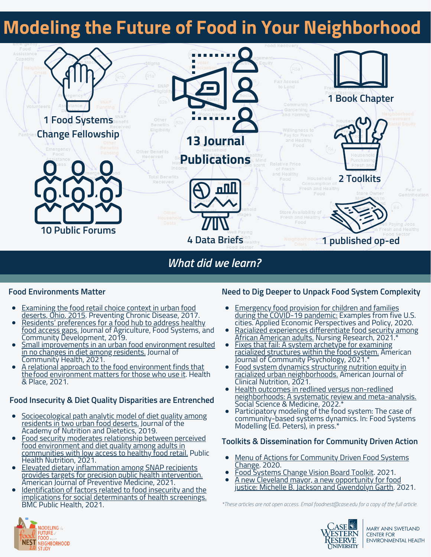## **Modeling the Future of Food in Your Neighborhood**



*What did we learn?*

### **Food Environments Matter**

- Examining the food retail choice context in urban food deserts, Ohio, 2015. [Preventing](https://www.ncbi.nlm.nih.gov/pmc/articles/PMC5645198/) Chronic Disease, 2017.
- Residents' [preferences](https://www.ncbi.nlm.nih.gov/pmc/articles/PMC7731973/) for a food hub to address healthy food access gaps. Journal of Agriculture, Food Systems, and Community Development, 2019.
- Small [improvements](https://pubmed.ncbi.nlm.nih.gov/32170531/) in an urban food environment resulted in no changes in diet among residents. Journal of Community Health, 2021.
- A relational approach to the food [environment](https://pubmed.ncbi.nlm.nih.gov/33894655/) finds that thefood environment matters for those who use it. Health & Place, 2021.

### **Food Insecurity & Diet Quality Disparities are Entrenched**

- [Socioecological](https://www.ncbi.nlm.nih.gov/pmc/articles/PMC6495569/) path analytic model of diet quality among residents in two urban food deserts. Journal of the Academy of Nutrition and Dietetics, 2019.
- Food security moderates relationship between perceived food environment and diet quality among adults in [communities](https://www.ncbi.nlm.nih.gov/pmc/articles/PMC7775890/) with low access to healthy food retail. Public Health Nutrition, 2021.
- Elevated dietary [inflammation](https://www.ajpmonline.org/article/S0749-3797(21)00167-7/fulltext) among SNAP recipients provides targets for precision public health intervention. American Journal of Preventive Medicine, 2021.
- Identification of factors related to food insecurity and the implications for social [determinants](https://bmcpublichealth.biomedcentral.com/articles/10.1186/s12889-021-11465-6) of health screenings. BMC Public Health, 2021.

### **Need to Dig Deeper to Unpack Food System Complexity**

- **[Emergency](https://pubmed.ncbi.nlm.nih.gov/33173572/) food provision for children and families** during the COVID-19 pandemic: Examples from five U.S. cities. Applied Economic Perspectives and Policy, 2020.
- Racialized experiences [differentiate](https://pubmed.ncbi.nlm.nih.gov/34173373/) food security among <u>African American adults.</u> Nursing Research, 2021.'
- Fixes that fail: A system archetype for examining racialized [structures](https://pubmed.ncbi.nlm.nih.gov/34333787/) within the food system. American Journal of Community Psychology, 2021.<sup>\*</sup>
- Food system dynamics structuring nutrition equity in racialized urban [neighborhoods.](https://www.ncbi.nlm.nih.gov/pmc/articles/PMC7487057) American Journal of Clinical Nutrition, 2021.
- **Health outcomes in redlined versus non-redlined** [neighborhoods:](https://www.sciencedirect.com/science/article/abs/pii/S0277953621010285?via%3Dihub) A systematic review and meta-analysis. Social Science & Medicine, 2022.\*
- Participatory modeling of the food system: The case of community-based systems dynamics. In: Food Systems Modelling (Ed. Peters), in press.\*

### **Toolkits & Dissemination for Community Driven Action**

- Menu of Actions for [Community](https://case.edu/swetland/sites/case.edu.swetland/files/2020-11/Menu%20of%20Actions%20for%20Community%20Driven%20Food%20Systems%20Change_November%202020%20%281%29_0.pdf) Driven Food Systems Change. 2020.
- Food [Systems](https://case.edu/swetland/sites/case.edu.swetland/files/2021-12/Vision%20Board%20Toolkit_November%202021.pdf) Change Vision Board Toolkit. 2021.
- A new Cleveland mayor, a new [opportunity](https://www.cleveland.com/opinion/2021/11/a-new-cleveland-mayor-a-new-opportunity-for-food-justice-michelle-b-jackson-and-gwendolyn-garth.html) for food justice: Michelle B. Jackson and Gwendolyn Garth. 2021.

*\*These articles are not open access. Email foodnest@case.edu for a copy of the full article.*